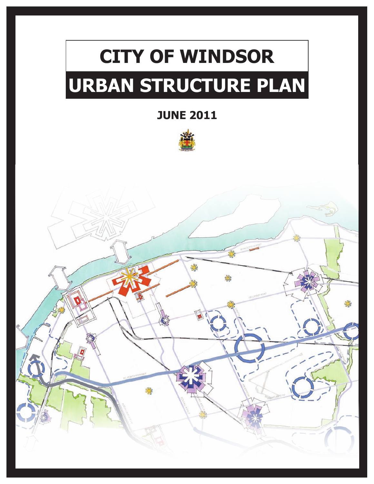# **CITY OF WINDSOR URBAN STRUCTURE PLAN**

**JUNE 2011**



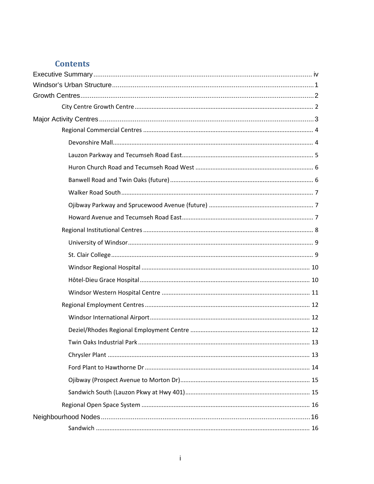## **Contents**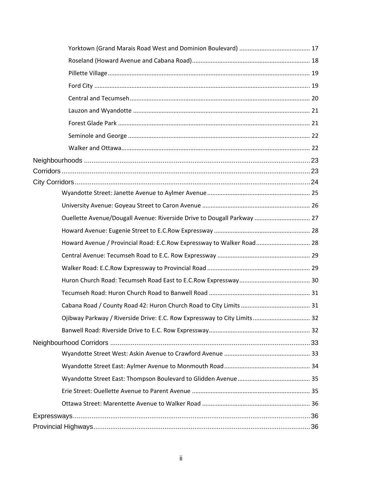| Ouellette Avenue/Dougall Avenue: Riverside Drive to Dougall Parkway  27  |  |
|--------------------------------------------------------------------------|--|
|                                                                          |  |
| Howard Avenue / Provincial Road: E.C.Row Expressway to Walker Road 28    |  |
|                                                                          |  |
|                                                                          |  |
|                                                                          |  |
|                                                                          |  |
|                                                                          |  |
| Ojibway Parkway / Riverside Drive: E.C. Row Expressway to City Limits 32 |  |
|                                                                          |  |
|                                                                          |  |
|                                                                          |  |
|                                                                          |  |
|                                                                          |  |
|                                                                          |  |
|                                                                          |  |
|                                                                          |  |
|                                                                          |  |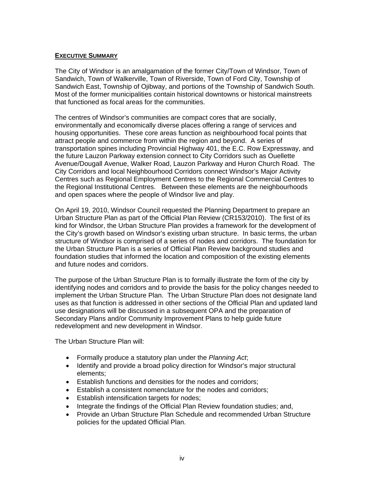#### **EXECUTIVE SUMMARY**

The City of Windsor is an amalgamation of the former City/Town of Windsor, Town of Sandwich, Town of Walkerville, Town of Riverside, Town of Ford City, Township of Sandwich East, Township of Ojibway, and portions of the Township of Sandwich South. Most of the former municipalities contain historical downtowns or historical mainstreets that functioned as focal areas for the communities.

The centres of Windsor's communities are compact cores that are socially, environmentally and economically diverse places offering a range of services and housing opportunities. These core areas function as neighbourhood focal points that attract people and commerce from within the region and beyond. A series of transportation spines including Provincial Highway 401, the E.C. Row Expressway, and the future Lauzon Parkway extension connect to City Corridors such as Ouellette Avenue/Dougall Avenue, Walker Road, Lauzon Parkway and Huron Church Road. The City Corridors and local Neighbourhood Corridors connect Windsor's Major Activity Centres such as Regional Employment Centres to the Regional Commercial Centres to the Regional Institutional Centres. Between these elements are the neighbourhoods and open spaces where the people of Windsor live and play.

On April 19, 2010, Windsor Council requested the Planning Department to prepare an Urban Structure Plan as part of the Official Plan Review (CR153/2010). The first of its kind for Windsor, the Urban Structure Plan provides a framework for the development of the City's growth based on Windsor's existing urban structure. In basic terms, the urban structure of Windsor is comprised of a series of nodes and corridors. The foundation for the Urban Structure Plan is a series of Official Plan Review background studies and foundation studies that informed the location and composition of the existing elements and future nodes and corridors.

The purpose of the Urban Structure Plan is to formally illustrate the form of the city by identifying nodes and corridors and to provide the basis for the policy changes needed to implement the Urban Structure Plan. The Urban Structure Plan does not designate land uses as that function is addressed in other sections of the Official Plan and updated land use designations will be discussed in a subsequent OPA and the preparation of Secondary Plans and/or Community Improvement Plans to help guide future redevelopment and new development in Windsor.

The Urban Structure Plan will:

- Formally produce a statutory plan under the *Planning Act*;
- Identify and provide a broad policy direction for Windsor's major structural elements;
- Establish functions and densities for the nodes and corridors;
- Establish a consistent nomenclature for the nodes and corridors;
- **Establish intensification targets for nodes;**
- Integrate the findings of the Official Plan Review foundation studies; and,
- Provide an Urban Structure Plan Schedule and recommended Urban Structure policies for the updated Official Plan.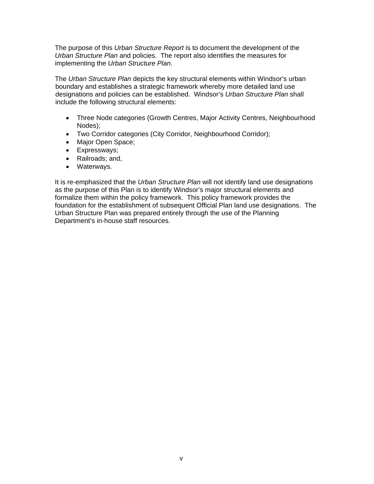The purpose of this *Urban Structure Report* is to document the development of the *Urban Structure Plan* and policies. The report also identifies the measures for implementing the *Urban Structure Plan*.

The *Urban Structure Plan* depicts the key structural elements within Windsor's urban boundary and establishes a strategic framework whereby more detailed land use designations and policies can be established. Windsor's *Urban Structure Plan* shall include the following structural elements:

- Three Node categories (Growth Centres, Major Activity Centres, Neighbourhood Nodes);
- Two Corridor categories (City Corridor, Neighbourhood Corridor);
- Major Open Space;
- Expressways;
- Railroads; and,
- Waterways.

It is re-emphasized that the *Urban Structure Plan* will not identify land use designations as the purpose of this Plan is to identify Windsor's major structural elements and formalize them within the policy framework. This policy framework provides the foundation for the establishment of subsequent Official Plan land use designations. The Urban Structure Plan was prepared entirely through the use of the Planning Department's in-house staff resources.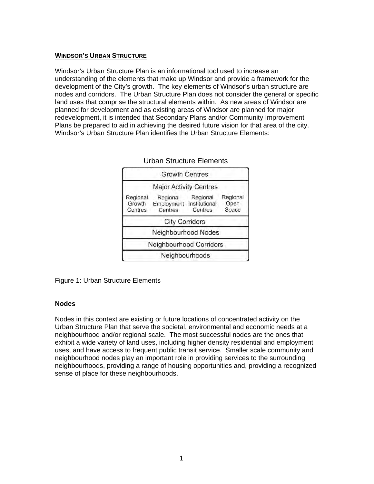#### **WINDSOR'S URBAN STRUCTURE**

Windsor's Urban Structure Plan is an informational tool used to increase an understanding of the elements that make up Windsor and provide a framework for the development of the City's growth. The key elements of Windsor's urban structure are nodes and corridors. The Urban Structure Plan does not consider the general or specific land uses that comprise the structural elements within. As new areas of Windsor are planned for development and as existing areas of Windsor are planned for major redevelopment, it is intended that Secondary Plans and/or Community Improvement Plans be prepared to aid in achieving the desired future vision for that area of the city. Windsor's Urban Structure Plan identifies the Urban Structure Elements:

|                               | <b>Growth Centres</b>                           |                     |                           |
|-------------------------------|-------------------------------------------------|---------------------|---------------------------|
|                               | <b>Major Activity Centres</b>                   |                     |                           |
| Regional<br>Growth<br>Centres | Regional<br>Employment Institutional<br>Centres | Regional<br>Centres | Regional<br>Open<br>Space |
|                               | <b>City Corridors</b>                           |                     |                           |
|                               | Neighbourhood Nodes                             |                     |                           |
|                               | Neighbourhood Corridors                         |                     |                           |
|                               | Neighbourhoods                                  |                     |                           |

Urban Structure Elements

Figure 1: Urban Structure Elements

#### **Nodes**

Nodes in this context are existing or future locations of concentrated activity on the Urban Structure Plan that serve the societal, environmental and economic needs at a neighbourhood and/or regional scale. The most successful nodes are the ones that exhibit a wide variety of land uses, including higher density residential and employment uses, and have access to frequent public transit service. Smaller scale community and neighbourhood nodes play an important role in providing services to the surrounding neighbourhoods, providing a range of housing opportunities and, providing a recognized sense of place for these neighbourhoods.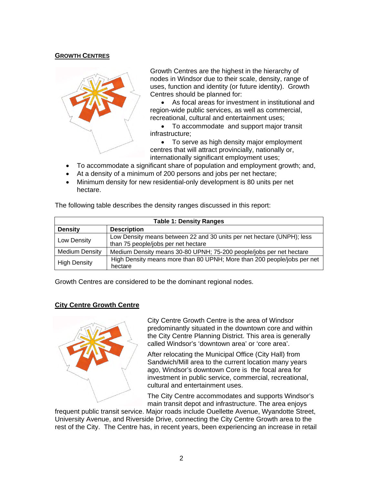## **GROWTH CENTRES**



Growth Centres are the highest in the hierarchy of nodes in Windsor due to their scale, density, range of uses, function and identity (or future identity). Growth Centres should be planned for:

 As focal areas for investment in institutional and region-wide public services, as well as commercial, recreational, cultural and entertainment uses;

 To accommodate and support major transit infrastructure;

• To serve as high density major employment centres that will attract provincially, nationally or, internationally significant employment uses;

- To accommodate a significant share of population and employment growth; and,
- At a density of a minimum of 200 persons and jobs per net hectare;
- Minimum density for new residential-only development is 80 units per net hectare.

| <b>Table 1: Density Ranges</b> |                                                                                                               |  |  |  |
|--------------------------------|---------------------------------------------------------------------------------------------------------------|--|--|--|
| <b>Density</b>                 | <b>Description</b>                                                                                            |  |  |  |
| Low Density                    | Low Density means between 22 and 30 units per net hectare (UNPH); less<br>than 75 people/jobs per net hectare |  |  |  |
| <b>Medium Density</b>          | Medium Density means 30-80 UPNH; 75-200 people/jobs per net hectare                                           |  |  |  |
| <b>High Density</b>            | High Density means more than 80 UPNH; More than 200 people/jobs per net<br>hectare                            |  |  |  |

The following table describes the density ranges discussed in this report:

Growth Centres are considered to be the dominant regional nodes.

## **City Centre Growth Centre**



City Centre Growth Centre is the area of Windsor predominantly situated in the downtown core and within the City Centre Planning District. This area is generally called Windsor's 'downtown area' or 'core area'.

After relocating the Municipal Office (City Hall) from Sandwich/Mill area to the current location many years ago, Windsor's downtown Core is the focal area for investment in public service, commercial, recreational, cultural and entertainment uses.

The City Centre accommodates and supports Windsor's main transit depot and infrastructure. The area enjoys

frequent public transit service. Major roads include Ouellette Avenue, Wyandotte Street, University Avenue, and Riverside Drive, connecting the City Centre Growth area to the rest of the City. The Centre has, in recent years, been experiencing an increase in retail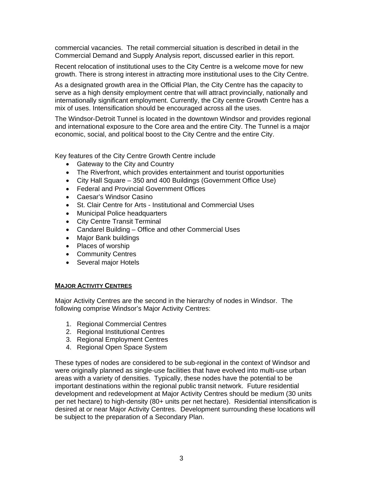commercial vacancies. The retail commercial situation is described in detail in the Commercial Demand and Supply Analysis report, discussed earlier in this report.

Recent relocation of institutional uses to the City Centre is a welcome move for new growth. There is strong interest in attracting more institutional uses to the City Centre.

As a designated growth area in the Official Plan, the City Centre has the capacity to serve as a high density employment centre that will attract provincially, nationally and internationally significant employment. Currently, the City centre Growth Centre has a mix of uses. Intensification should be encouraged across all the uses.

The Windsor-Detroit Tunnel is located in the downtown Windsor and provides regional and international exposure to the Core area and the entire City. The Tunnel is a major economic, social, and political boost to the City Centre and the entire City.

Key features of the City Centre Growth Centre include

- Gateway to the City and Country
- The Riverfront, which provides entertainment and tourist opportunities
- City Hall Square 350 and 400 Buildings (Government Office Use)
- Federal and Provincial Government Offices
- Caesar's Windsor Casino
- St. Clair Centre for Arts Institutional and Commercial Uses
- Municipal Police headquarters
- City Centre Transit Terminal
- Candarel Building Office and other Commercial Uses
- Major Bank buildings
- Places of worship
- Community Centres
- Several major Hotels

#### **MAJOR ACTIVITY CENTRES**

Major Activity Centres are the second in the hierarchy of nodes in Windsor. The following comprise Windsor's Major Activity Centres:

- 1. Regional Commercial Centres
- 2. Regional Institutional Centres
- 3. Regional Employment Centres
- 4. Regional Open Space System

These types of nodes are considered to be sub-regional in the context of Windsor and were originally planned as single-use facilities that have evolved into multi-use urban areas with a variety of densities. Typically, these nodes have the potential to be important destinations within the regional public transit network. Future residential development and redevelopment at Major Activity Centres should be medium (30 units per net hectare) to high-density (80+ units per net hectare). Residential intensification is desired at or near Major Activity Centres. Development surrounding these locations will be subject to the preparation of a Secondary Plan.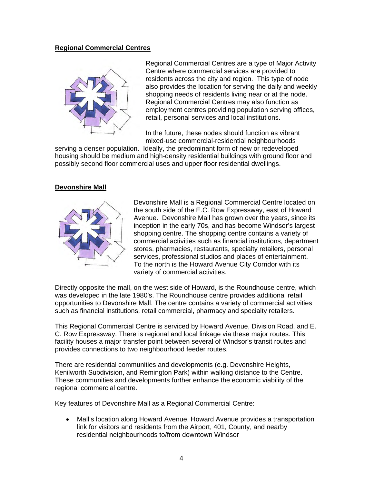#### **Regional Commercial Centres**



Regional Commercial Centres are a type of Major Activity Centre where commercial services are provided to residents across the city and region. This type of node also provides the location for serving the daily and weekly shopping needs of residents living near or at the node. Regional Commercial Centres may also function as employment centres providing population serving offices, retail, personal services and local institutions.

In the future, these nodes should function as vibrant mixed-use commercial-residential neighbourhoods

serving a denser population. Ideally, the predominant form of new or redeveloped housing should be medium and high-density residential buildings with ground floor and possibly second floor commercial uses and upper floor residential dwellings.

#### **Devonshire Mall**



Devonshire Mall is a Regional Commercial Centre located on the south side of the E.C. Row Expressway, east of Howard Avenue. Devonshire Mall has grown over the years, since its inception in the early 70s, and has become Windsor's largest shopping centre. The shopping centre contains a variety of commercial activities such as financial institutions, department stores, pharmacies, restaurants, specialty retailers, personal services, professional studios and places of entertainment. To the north is the Howard Avenue City Corridor with its variety of commercial activities.

Directly opposite the mall, on the west side of Howard, is the Roundhouse centre, which was developed in the late 1980's. The Roundhouse centre provides additional retail opportunities to Devonshire Mall. The centre contains a variety of commercial activities such as financial institutions, retail commercial, pharmacy and specialty retailers.

This Regional Commercial Centre is serviced by Howard Avenue, Division Road, and E. C. Row Expressway. There is regional and local linkage via these major routes. This facility houses a major transfer point between several of Windsor's transit routes and provides connections to two neighbourhood feeder routes.

There are residential communities and developments (e.g. Devonshire Heights, Kenilworth Subdivision, and Remington Park) within walking distance to the Centre. These communities and developments further enhance the economic viability of the regional commercial centre.

Key features of Devonshire Mall as a Regional Commercial Centre:

 Mall's location along Howard Avenue. Howard Avenue provides a transportation link for visitors and residents from the Airport, 401, County, and nearby residential neighbourhoods to/from downtown Windsor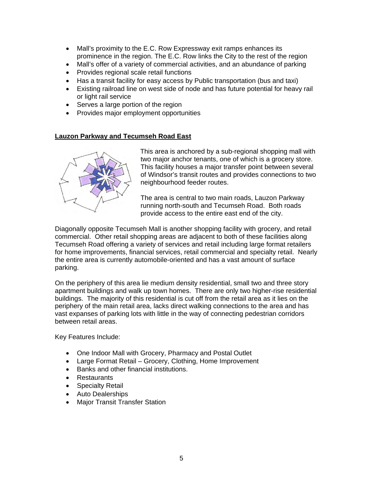- Mall's proximity to the E.C. Row Expressway exit ramps enhances its prominence in the region. The E.C. Row links the City to the rest of the region
- Mall's offer of a variety of commercial activities, and an abundance of parking
- Provides regional scale retail functions
- Has a transit facility for easy access by Public transportation (bus and taxi)
- Existing railroad line on west side of node and has future potential for heavy rail or light rail service
- Serves a large portion of the region
- Provides major employment opportunities

#### **Lauzon Parkway and Tecumseh Road East**



This area is anchored by a sub-regional shopping mall with two major anchor tenants, one of which is a grocery store. This facility houses a major transfer point between several of Windsor's transit routes and provides connections to two neighbourhood feeder routes.

The area is central to two main roads, Lauzon Parkway running north-south and Tecumseh Road. Both roads provide access to the entire east end of the city.

Diagonally opposite Tecumseh Mall is another shopping facility with grocery, and retail commercial. Other retail shopping areas are adjacent to both of these facilities along Tecumseh Road offering a variety of services and retail including large format retailers for home improvements, financial services, retail commercial and specialty retail. Nearly the entire area is currently automobile-oriented and has a vast amount of surface parking.

On the periphery of this area lie medium density residential, small two and three story apartment buildings and walk up town homes. There are only two higher-rise residential buildings. The majority of this residential is cut off from the retail area as it lies on the periphery of the main retail area, lacks direct walking connections to the area and has vast expanses of parking lots with little in the way of connecting pedestrian corridors between retail areas.

Key Features Include:

- One Indoor Mall with Grocery, Pharmacy and Postal Outlet
- Large Format Retail Grocery, Clothing, Home Improvement
- Banks and other financial institutions.
- Restaurants
- Specialty Retail
- Auto Dealerships
- Major Transit Transfer Station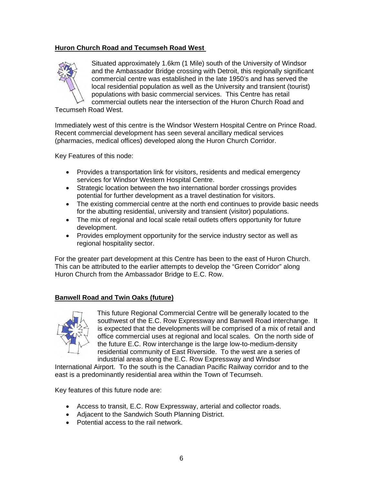## **Huron Church Road and Tecumseh Road West**



Situated approximately 1.6km (1 Mile) south of the University of Windsor and the Ambassador Bridge crossing with Detroit, this regionally significant commercial centre was established in the late 1950's and has served the local residential population as well as the University and transient (tourist) populations with basic commercial services. This Centre has retail commercial outlets near the intersection of the Huron Church Road and

Tecumseh Road West.

Immediately west of this centre is the Windsor Western Hospital Centre on Prince Road. Recent commercial development has seen several ancillary medical services (pharmacies, medical offices) developed along the Huron Church Corridor.

Key Features of this node:

- Provides a transportation link for visitors, residents and medical emergency services for Windsor Western Hospital Centre.
- Strategic location between the two international border crossings provides potential for further development as a travel destination for visitors.
- The existing commercial centre at the north end continues to provide basic needs for the abutting residential, university and transient (visitor) populations.
- The mix of regional and local scale retail outlets offers opportunity for future development.
- Provides employment opportunity for the service industry sector as well as regional hospitality sector.

For the greater part development at this Centre has been to the east of Huron Church. This can be attributed to the earlier attempts to develop the "Green Corridor" along Huron Church from the Ambassador Bridge to E.C. Row.

## **Banwell Road and Twin Oaks (future)**



This future Regional Commercial Centre will be generally located to the southwest of the E.C. Row Expressway and Banwell Road interchange. It is expected that the developments will be comprised of a mix of retail and office commercial uses at regional and local scales. On the north side of the future E.C. Row interchange is the large low-to-medium-density residential community of East Riverside. To the west are a series of industrial areas along the E.C. Row Expressway and Windsor

International Airport. To the south is the Canadian Pacific Railway corridor and to the east is a predominantly residential area within the Town of Tecumseh.

Key features of this future node are:

- Access to transit, E.C. Row Expressway, arterial and collector roads.
- Adiacent to the Sandwich South Planning District.
- Potential access to the rail network.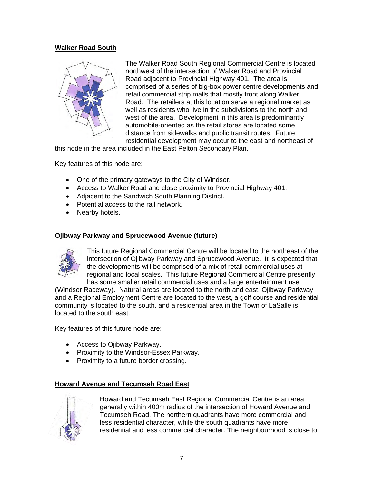## **Walker Road South**



The Walker Road South Regional Commercial Centre is located northwest of the intersection of Walker Road and Provincial Road adjacent to Provincial Highway 401. The area is comprised of a series of big-box power centre developments and retail commercial strip malls that mostly front along Walker Road. The retailers at this location serve a regional market as well as residents who live in the subdivisions to the north and west of the area. Development in this area is predominantly automobile-oriented as the retail stores are located some distance from sidewalks and public transit routes. Future residential development may occur to the east and northeast of

this node in the area included in the East Pelton Secondary Plan.

Key features of this node are:

- One of the primary gateways to the City of Windsor.
- Access to Walker Road and close proximity to Provincial Highway 401.
- Adjacent to the Sandwich South Planning District.
- Potential access to the rail network.
- Nearby hotels.

#### **Ojibway Parkway and Sprucewood Avenue (future)**



This future Regional Commercial Centre will be located to the northeast of the intersection of Ojibway Parkway and Sprucewood Avenue. It is expected that the developments will be comprised of a mix of retail commercial uses at regional and local scales. This future Regional Commercial Centre presently has some smaller retail commercial uses and a large entertainment use

(Windsor Raceway). Natural areas are located to the north and east, Ojibway Parkway and a Regional Employment Centre are located to the west, a golf course and residential community is located to the south, and a residential area in the Town of LaSalle is located to the south east.

Key features of this future node are:

- Access to Ojibway Parkway.
- Proximity to the Windsor-Essex Parkway.
- Proximity to a future border crossing.

#### **Howard Avenue and Tecumseh Road East**



Howard and Tecumseh East Regional Commercial Centre is an area generally within 400m radius of the intersection of Howard Avenue and Tecumseh Road. The northern quadrants have more commercial and less residential character, while the south quadrants have more residential and less commercial character. The neighbourhood is close to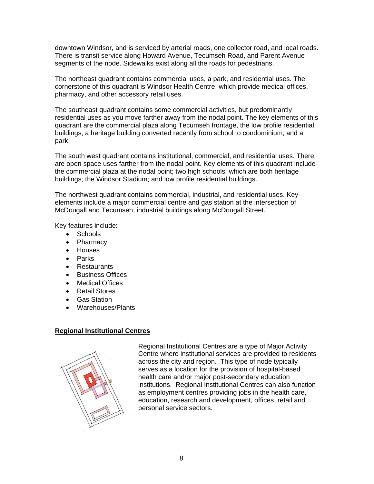downtown Windsor, and is serviced by arterial roads, one collector road, and local roads. There is transit service along Howard Avenue, Tecumseh Road, and Parent Avenue segments of the node. Sidewalks exist along all the roads for pedestrians.

The northeast quadrant contains commercial uses, a park, and residential uses. The cornerstone of this quadrant is Windsor Health Centre, which provide medical offices, pharmacy, and other accessory retail uses.

The southeast quadrant contains some commercial activities, but predominantly residential uses as you move farther away from the nodal point. The key elements of this quadrant are the commercial plaza along Tecumseh frontage, the low profile residential buildings, a heritage building converted recently from school to condominium, and a park.

The south west quadrant contains institutional, commercial, and residential uses. There are open space uses farther from the nodal point. Key elements of this quadrant include the commercial plaza at the nodal point; two high schools, which are both heritage buildings; the Windsor Stadium; and low profile residential buildings.

The northwest quadrant contains commercial, industrial, and residential uses. Key elements include a major commercial centre and gas station at the intersection of McDougall and Tecumseh; industrial buildings along McDougall Street.

Key features include:

- Schools
- Pharmacy
- Houses
- Parks
- Restaurants
- Business Offices
- Medical Offices
- Retail Stores
- Gas Station
- Warehouses/Plants

## **Regional Institutional Centres**



Regional Institutional Centres are a type of Major Activity Centre where institutional services are provided to residents across the city and region. This type of node typically serves as a location for the provision of hospital-based health care and/or major post-secondary education institutions. Regional Institutional Centres can also function as employment centres providing jobs in the health care, education, research and development, offices, retail and personal service sectors.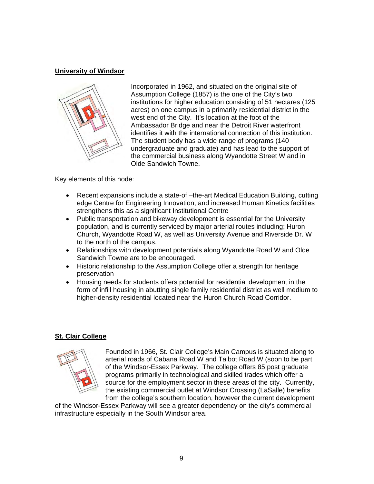## **University of Windsor**



Incorporated in 1962, and situated on the original site of Assumption College (1857) is the one of the City's two institutions for higher education consisting of 51 hectares (125 acres) on one campus in a primarily residential district in the west end of the City. It's location at the foot of the Ambassador Bridge and near the Detroit River waterfront identifies it with the international connection of this institution. The student body has a wide range of programs (140 undergraduate and graduate) and has lead to the support of the commercial business along Wyandotte Street W and in Olde Sandwich Towne.

Key elements of this node:

- Recent expansions include a state-of –the-art Medical Education Building, cutting edge Centre for Engineering Innovation, and increased Human Kinetics facilities strengthens this as a significant Institutional Centre
- Public transportation and bikeway development is essential for the University population, and is currently serviced by major arterial routes including; Huron Church, Wyandotte Road W, as well as University Avenue and Riverside Dr. W to the north of the campus.
- Relationships with development potentials along Wyandotte Road W and Olde Sandwich Towne are to be encouraged.
- Historic relationship to the Assumption College offer a strength for heritage preservation
- Housing needs for students offers potential for residential development in the form of infill housing in abutting single family residential district as well medium to higher-density residential located near the Huron Church Road Corridor.

## **St. Clair College**



Founded in 1966, St. Clair College's Main Campus is situated along to arterial roads of Cabana Road W and Talbot Road W (soon to be part of the Windsor-Essex Parkway. The college offers 85 post graduate programs primarily in technological and skilled trades which offer a source for the employment sector in these areas of the city. Currently, the existing commercial outlet at Windsor Crossing (LaSalle) benefits from the college's southern location, however the current development

of the Windsor-Essex Parkway will see a greater dependency on the city's commercial infrastructure especially in the South Windsor area.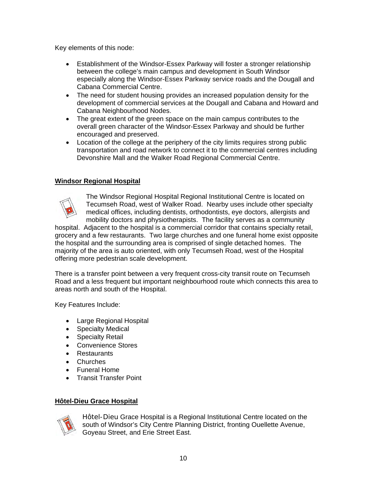Key elements of this node:

- Establishment of the Windsor-Essex Parkway will foster a stronger relationship between the college's main campus and development in South Windsor especially along the Windsor-Essex Parkway service roads and the Dougall and Cabana Commercial Centre.
- The need for student housing provides an increased population density for the development of commercial services at the Dougall and Cabana and Howard and Cabana Neighbourhood Nodes.
- The great extent of the green space on the main campus contributes to the overall green character of the Windsor-Essex Parkway and should be further encouraged and preserved.
- Location of the college at the periphery of the city limits requires strong public transportation and road network to connect it to the commercial centres including Devonshire Mall and the Walker Road Regional Commercial Centre.

## **Windsor Regional Hospital**



The Windsor Regional Hospital Regional Institutional Centre is located on Tecumseh Road, west of Walker Road. Nearby uses include other specialty medical offices, including dentists, orthodontists, eye doctors, allergists and mobility doctors and physiotherapists. The facility serves as a community

hospital. Adjacent to the hospital is a commercial corridor that contains specialty retail, grocery and a few restaurants. Two large churches and one funeral home exist opposite the hospital and the surrounding area is comprised of single detached homes. The majority of the area is auto oriented, with only Tecumseh Road, west of the Hospital offering more pedestrian scale development.

There is a transfer point between a very frequent cross-city transit route on Tecumseh Road and a less frequent but important neighbourhood route which connects this area to areas north and south of the Hospital.

Key Features Include:

- Large Regional Hospital
- Specialty Medical
- Specialty Retail
- Convenience Stores
- Restaurants
- Churches
- Funeral Home
- Transit Transfer Point

## **Hôtel-Dieu Grace Hospital**



Hôtel-Dieu Grace Hospital is a Regional Institutional Centre located on the south of Windsor's City Centre Planning District, fronting Ouellette Avenue, Goyeau Street, and Erie Street East.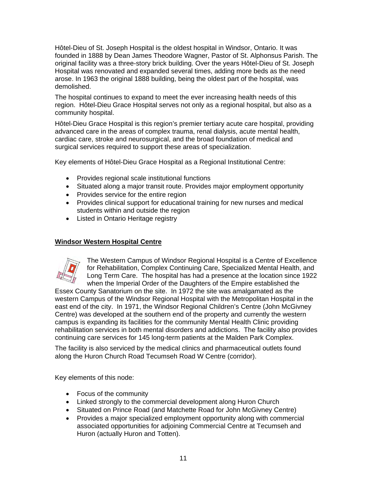Hôtel-Dieu of St. Joseph Hospital is the oldest hospital in Windsor, Ontario. It was founded in 1888 by Dean James Theodore Wagner, Pastor of St. Alphonsus Parish. The original facility was a three-story brick building. Over the years Hôtel-Dieu of St. Joseph Hospital was renovated and expanded several times, adding more beds as the need arose. In 1963 the original 1888 building, being the oldest part of the hospital, was demolished.

The hospital continues to expand to meet the ever increasing health needs of this region. Hôtel-Dieu Grace Hospital serves not only as a regional hospital, but also as a community hospital.

Hôtel-Dieu Grace Hospital is this region's premier tertiary acute care hospital, providing advanced care in the areas of complex trauma, renal dialysis, acute mental health, cardiac care, stroke and neurosurgical, and the broad foundation of medical and surgical services required to support these areas of specialization.

Key elements of Hôtel-Dieu Grace Hospital as a Regional Institutional Centre:

- Provides regional scale institutional functions
- Situated along a major transit route. Provides major employment opportunity
- Provides service for the entire region
- Provides clinical support for educational training for new nurses and medical students within and outside the region
- Listed in Ontario Heritage registry

### **Windsor Western Hospital Centre**



The Western Campus of Windsor Regional Hospital is a Centre of Excellence for Rehabilitation, Complex Continuing Care, Specialized Mental Health, and Long Term Care. The hospital has had a presence at the location since 1922 when the Imperial Order of the Daughters of the Empire established the

Essex County Sanatorium on the site. In 1972 the site was amalgamated as the western Campus of the Windsor Regional Hospital with the Metropolitan Hospital in the east end of the city. In 1971, the Windsor Regional Children's Centre (John McGivney Centre) was developed at the southern end of the property and currently the western campus is expanding its facilities for the community Mental Health Clinic providing rehabilitation services in both mental disorders and addictions. The facility also provides continuing care services for 145 long-term patients at the Malden Park Complex.

The facility is also serviced by the medical clinics and pharmaceutical outlets found along the Huron Church Road Tecumseh Road W Centre (corridor).

Key elements of this node:

- Focus of the community
- Linked strongly to the commercial development along Huron Church
- Situated on Prince Road (and Matchette Road for John McGivney Centre)
- Provides a major specialized employment opportunity along with commercial associated opportunities for adjoining Commercial Centre at Tecumseh and Huron (actually Huron and Totten).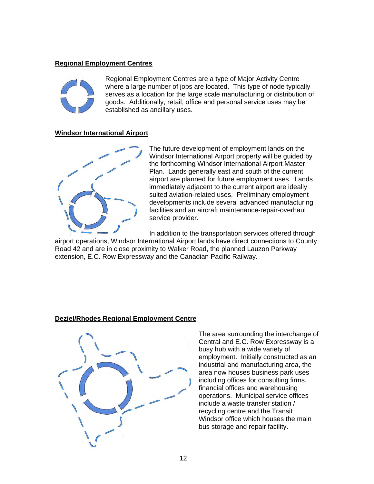#### **Regional Employment Centres**



Regional Employment Centres are a type of Major Activity Centre where a large number of jobs are located. This type of node typically serves as a location for the large scale manufacturing or distribution of goods. Additionally, retail, office and personal service uses may be established as ancillary uses.

#### **Windsor International Airport**



The future development of employment lands on the Windsor International Airport property will be guided by the forthcoming Windsor International Airport Master Plan. Lands generally east and south of the current airport are planned for future employment uses. Lands immediately adjacent to the current airport are ideally suited aviation-related uses. Preliminary employment developments include several advanced manufacturing facilities and an aircraft maintenance-repair-overhaul service provider.

In addition to the transportation services offered through

airport operations, Windsor International Airport lands have direct connections to County Road 42 and are in close proximity to Walker Road, the planned Lauzon Parkway extension, E.C. Row Expressway and the Canadian Pacific Railway.

#### **Deziel/Rhodes Regional Employment Centre**



The area surrounding the interchange of Central and E.C. Row Expressway is a busy hub with a wide variety of employment. Initially constructed as an industrial and manufacturing area, the area now houses business park uses including offices for consulting firms, financial offices and warehousing operations. Municipal service offices include a waste transfer station / recycling centre and the Transit Windsor office which houses the main bus storage and repair facility.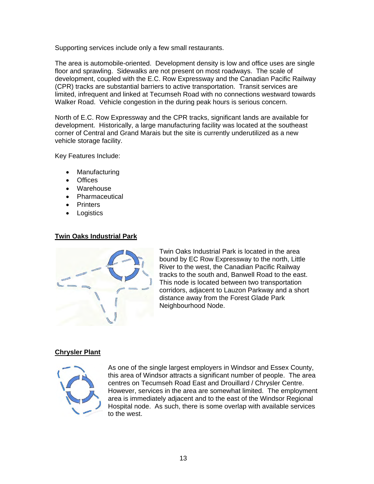Supporting services include only a few small restaurants.

The area is automobile-oriented. Development density is low and office uses are single floor and sprawling. Sidewalks are not present on most roadways. The scale of development, coupled with the E.C. Row Expressway and the Canadian Pacific Railway (CPR) tracks are substantial barriers to active transportation. Transit services are limited, infrequent and linked at Tecumseh Road with no connections westward towards Walker Road. Vehicle congestion in the during peak hours is serious concern.

North of E.C. Row Expressway and the CPR tracks, significant lands are available for development. Historically, a large manufacturing facility was located at the southeast corner of Central and Grand Marais but the site is currently underutilized as a new vehicle storage facility.

Key Features Include:

- Manufacturing
- Offices
- Warehouse
- Pharmaceutical
- Printers
- Logistics

## **Twin Oaks Industrial Park**



Twin Oaks Industrial Park is located in the area bound by EC Row Expressway to the north, Little River to the west, the Canadian Pacific Railway tracks to the south and, Banwell Road to the east. This node is located between two transportation corridors, adjacent to Lauzon Parkway and a short distance away from the Forest Glade Park Neighbourhood Node.

## **Chrysler Plant**



As one of the single largest employers in Windsor and Essex County, this area of Windsor attracts a significant number of people. The area centres on Tecumseh Road East and Drouillard / Chrysler Centre. However, services in the area are somewhat limited. The employment area is immediately adjacent and to the east of the Windsor Regional Hospital node. As such, there is some overlap with available services to the west.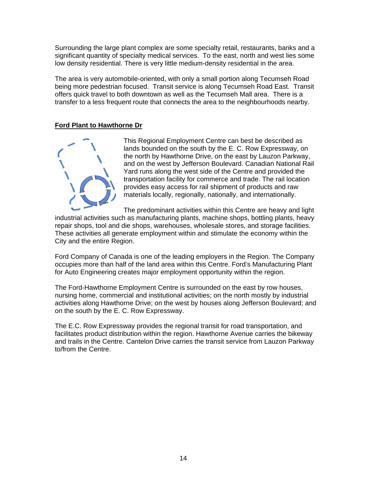Surrounding the large plant complex are some specialty retail, restaurants, banks and a significant quantity of specialty medical services. To the east, north and west lies some low density residential. There is very little medium-density residential in the area.

The area is very automobile-oriented, with only a small portion along Tecumseh Road being more pedestrian focused. Transit service is along Tecumseh Road East. Transit offers quick travel to both downtown as well as the Tecumseh Mall area. There is a transfer to a less frequent route that connects the area to the neighbourhoods nearby.

## **Ford Plant to Hawthorne Dr**



This Regional Employment Centre can best be described as lands bounded on the south by the E. C. Row Expressway, on the north by Hawthorne Drive, on the east by Lauzon Parkway, and on the west by Jefferson Boulevard. Canadian National Rail Yard runs along the west side of the Centre and provided the transportation facility for commerce and trade. The rail location provides easy access for rail shipment of products and raw materials locally, regionally, nationally, and internationally.

The predominant activities within this Centre are heavy and light

industrial activities such as manufacturing plants, machine shops, bottling plants, heavy repair shops, tool and die shops, warehouses, wholesale stores, and storage facilities. These activities all generate employment within and stimulate the economy within the City and the entire Region.

Ford Company of Canada is one of the leading employers in the Region. The Company occupies more than half of the land area within this Centre. Ford's Manufacturing Plant for Auto Engineering creates major employment opportunity within the region.

The Ford-Hawthorne Employment Centre is surrounded on the east by row houses, nursing home, commercial and institutional activities; on the north mostly by industrial activities along Hawthorne Drive; on the west by houses along Jefferson Boulevard; and on the south by the E. C. Row Expressway.

The E.C. Row Expressway provides the regional transit for road transportation, and facilitates product distribution within the region. Hawthorne Avenue carries the bikeway and trails in the Centre. Cantelon Drive carries the transit service from Lauzon Parkway to/from the Centre.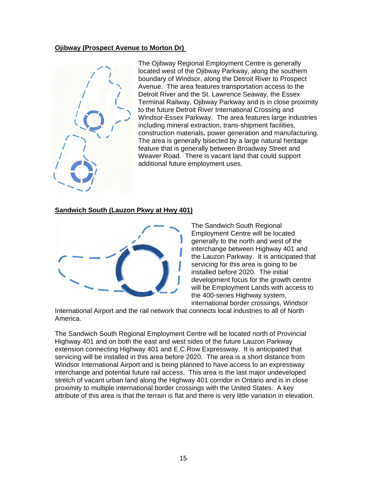## **Ojibway (Prospect Avenue to Morton Dr)**



The Ojibway Regional Employment Centre is generally located west of the Ojibway Parkway, along the southern boundary of Windsor, along the Detroit River to Prospect Avenue. The area features transportation access to the Detroit River and the St. Lawrence Seaway, the Essex Terminal Railway, Ojibway Parkway and is in close proximity to the future Detroit River International Crossing and Windsor-Essex Parkway. The area features large industries including mineral extraction, trans-shipment facilities, construction materials, power generation and manufacturing. The area is generally bisected by a large natural heritage feature that is generally between Broadway Street and Weaver Road. There is vacant land that could support additional future employment uses.

#### **Sandwich South (Lauzon Pkwy at Hwy 401)**



The Sandwich South Regional Employment Centre will be located generally to the north and west of the interchange between Highway 401 and the Lauzon Parkway. It is anticipated that servicing for this area is going to be installed before 2020. The initial development focus for the growth centre will be Employment Lands with access to the 400-series Highway system, international border crossings, Windsor

International Airport and the rail network that connects local industries to all of North America.

The Sandwich South Regional Employment Centre will be located north of Provincial Highway 401 and on both the east and west sides of the future Lauzon Parkway extension connecting Highway 401 and E.C.Row Expressway. It is anticipated that servicing will be installed in this area before 2020. The area is a short distance from Windsor International Airport and is being planned to have access to an expressway interchange and potential future rail access. This area is the last major undeveloped stretch of vacant urban land along the Highway 401 corridor in Ontario and is in close proximity to multiple international border crossings with the United States. A key attribute of this area is that the terrain is flat and there is very little variation in elevation.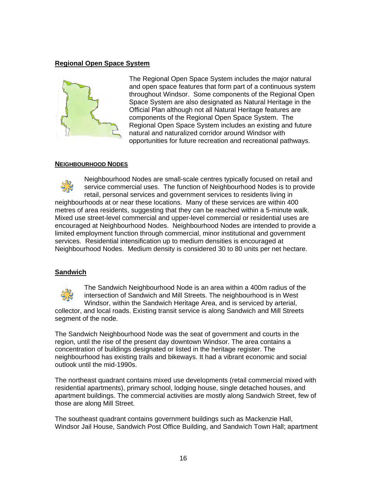## **Regional Open Space System**



The Regional Open Space System includes the major natural and open space features that form part of a continuous system throughout Windsor. Some components of the Regional Open Space System are also designated as Natural Heritage in the Official Plan although not all Natural Heritage features are components of the Regional Open Space System. The Regional Open Space System includes an existing and future natural and naturalized corridor around Windsor with opportunities for future recreation and recreational pathways.

#### **NEIGHBOURHOOD NODES**



Neighbourhood Nodes are small-scale centres typically focused on retail and service commercial uses. The function of Neighbourhood Nodes is to provide retail, personal services and government services to residents living in neighbourhoods at or near these locations. Many of these services are within 400 metres of area residents, suggesting that they can be reached within a 5-minute walk. Mixed use street-level commercial and upper-level commercial or residential uses are encouraged at Neighbourhood Nodes. Neighbourhood Nodes are intended to provide a limited employment function through commercial, minor institutional and government services. Residential intensification up to medium densities is encouraged at Neighbourhood Nodes. Medium density is considered 30 to 80 units per net hectare.

## **Sandwich**



The Sandwich Neighbourhood Node is an area within a 400m radius of the intersection of Sandwich and Mill Streets. The neighbourhood is in West Windsor, within the Sandwich Heritage Area, and is serviced by arterial, collector, and local roads. Existing transit service is along Sandwich and Mill Streets

segment of the node.

The Sandwich Neighbourhood Node was the seat of government and courts in the region, until the rise of the present day downtown Windsor. The area contains a concentration of buildings designated or listed in the heritage register. The neighbourhood has existing trails and bikeways. It had a vibrant economic and social outlook until the mid-1990s.

The northeast quadrant contains mixed use developments (retail commercial mixed with residential apartments), primary school, lodging house, single detached houses, and apartment buildings. The commercial activities are mostly along Sandwich Street, few of those are along Mill Street.

The southeast quadrant contains government buildings such as Mackenzie Hall, Windsor Jail House, Sandwich Post Office Building, and Sandwich Town Hall; apartment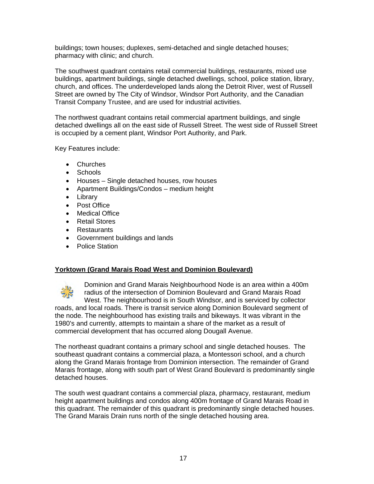buildings; town houses; duplexes, semi-detached and single detached houses; pharmacy with clinic; and church.

The southwest quadrant contains retail commercial buildings, restaurants, mixed use buildings, apartment buildings, single detached dwellings, school, police station, library, church, and offices. The underdeveloped lands along the Detroit River, west of Russell Street are owned by The City of Windsor, Windsor Port Authority, and the Canadian Transit Company Trustee, and are used for industrial activities.

The northwest quadrant contains retail commercial apartment buildings, and single detached dwellings all on the east side of Russell Street. The west side of Russell Street is occupied by a cement plant, Windsor Port Authority, and Park.

Key Features include:

- Churches
- Schools
- Houses Single detached houses, row houses
- Apartment Buildings/Condos medium height
- Library
- Post Office
- Medical Office
- Retail Stores
- Restaurants
- Government buildings and lands
- Police Station

#### **Yorktown (Grand Marais Road West and Dominion Boulevard)**



Dominion and Grand Marais Neighbourhood Node is an area within a 400m radius of the intersection of Dominion Boulevard and Grand Marais Road West. The neighbourhood is in South Windsor, and is serviced by collector roads, and local roads. There is transit service along Dominion Boulevard segment of the node. The neighbourhood has existing trails and bikeways. It was vibrant in the 1980's and currently, attempts to maintain a share of the market as a result of commercial development that has occurred along Dougall Avenue.

The northeast quadrant contains a primary school and single detached houses. The southeast quadrant contains a commercial plaza, a Montessori school, and a church along the Grand Marais frontage from Dominion intersection. The remainder of Grand Marais frontage, along with south part of West Grand Boulevard is predominantly single detached houses.

The south west quadrant contains a commercial plaza, pharmacy, restaurant, medium height apartment buildings and condos along 400m frontage of Grand Marais Road in this quadrant. The remainder of this quadrant is predominantly single detached houses. The Grand Marais Drain runs north of the single detached housing area.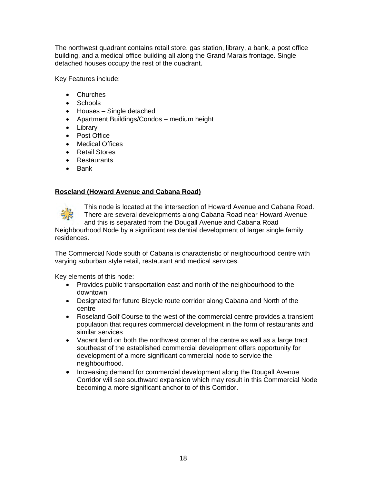The northwest quadrant contains retail store, gas station, library, a bank, a post office building, and a medical office building all along the Grand Marais frontage. Single detached houses occupy the rest of the quadrant.

Key Features include:

- Churches
- Schools
- Houses Single detached
- Apartment Buildings/Condos medium height
- Library
- Post Office
- Medical Offices
- Retail Stores
- Restaurants
- Bank

#### **Roseland (Howard Avenue and Cabana Road)**



This node is located at the intersection of Howard Avenue and Cabana Road. There are several developments along Cabana Road near Howard Avenue and this is separated from the Dougall Avenue and Cabana Road

Neighbourhood Node by a significant residential development of larger single family residences.

The Commercial Node south of Cabana is characteristic of neighbourhood centre with varying suburban style retail, restaurant and medical services.

Key elements of this node:

- Provides public transportation east and north of the neighbourhood to the downtown
- Designated for future Bicycle route corridor along Cabana and North of the centre
- Roseland Golf Course to the west of the commercial centre provides a transient population that requires commercial development in the form of restaurants and similar services
- Vacant land on both the northwest corner of the centre as well as a large tract southeast of the established commercial development offers opportunity for development of a more significant commercial node to service the neighbourhood.
- Increasing demand for commercial development along the Dougall Avenue Corridor will see southward expansion which may result in this Commercial Node becoming a more significant anchor to of this Corridor.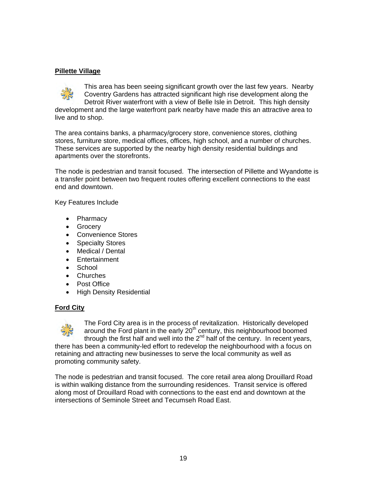## **Pillette Village**

This area has been seeing significant growth over the last few years. Nearby Coventry Gardens has attracted significant high rise development along the Detroit River waterfront with a view of Belle Isle in Detroit. This high density development and the large waterfront park nearby have made this an attractive area to live and to shop.

The area contains banks, a pharmacy/grocery store, convenience stores, clothing stores, furniture store, medical offices, offices, high school, and a number of churches. These services are supported by the nearby high density residential buildings and apartments over the storefronts.

The node is pedestrian and transit focused. The intersection of Pillette and Wyandotte is a transfer point between two frequent routes offering excellent connections to the east end and downtown.

Key Features Include

- Pharmacy
- Grocery
- Convenience Stores
- Specialty Stores
- Medical / Dental
- Entertainment
- School
- Churches
- Post Office
- High Density Residential

## **Ford City**



The Ford City area is in the process of revitalization. Historically developed around the Ford plant in the early  $20<sup>th</sup>$  century, this neighbourhood boomed through the first half and well into the  $2<sup>nd</sup>$  half of the century. In recent years, there has been a community-led effort to redevelop the neighbourhood with a focus on retaining and attracting new businesses to serve the local community as well as promoting community safety.

The node is pedestrian and transit focused. The core retail area along Drouillard Road is within walking distance from the surrounding residences. Transit service is offered along most of Drouillard Road with connections to the east end and downtown at the intersections of Seminole Street and Tecumseh Road East.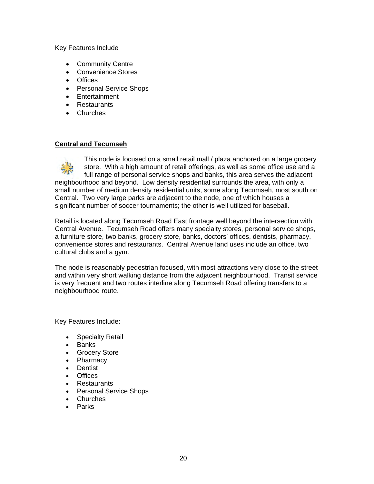Key Features Include

- Community Centre
- Convenience Stores
- Offices
- Personal Service Shops
- Entertainment
- Restaurants
- Churches

#### **Central and Tecumseh**

This node is focused on a small retail mall / plaza anchored on a large grocery store. With a high amount of retail offerings, as well as some office use and a full range of personal service shops and banks, this area serves the adjacent neighbourhood and beyond. Low density residential surrounds the area, with only a small number of medium density residential units, some along Tecumseh, most south on Central. Two very large parks are adjacent to the node, one of which houses a significant number of soccer tournaments; the other is well utilized for baseball.

Retail is located along Tecumseh Road East frontage well beyond the intersection with Central Avenue. Tecumseh Road offers many specialty stores, personal service shops, a furniture store, two banks, grocery store, banks, doctors' offices, dentists, pharmacy, convenience stores and restaurants. Central Avenue land uses include an office, two cultural clubs and a gym.

The node is reasonably pedestrian focused, with most attractions very close to the street and within very short walking distance from the adjacent neighbourhood. Transit service is very frequent and two routes interline along Tecumseh Road offering transfers to a neighbourhood route.

Key Features Include:

- Specialty Retail
- Banks
- Grocery Store
- Pharmacy
- Dentist
- Offices
- Restaurants
- Personal Service Shops
- Churches
- Parks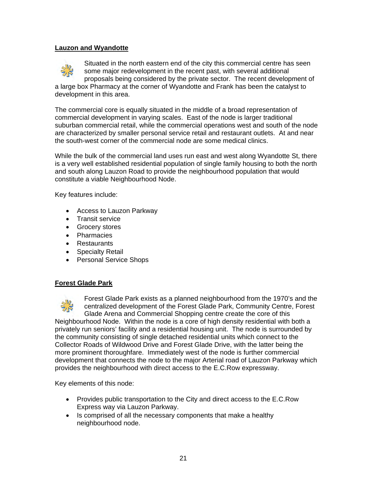#### **Lauzon and Wyandotte**



Situated in the north eastern end of the city this commercial centre has seen some major redevelopment in the recent past, with several additional proposals being considered by the private sector. The recent development of a large box Pharmacy at the corner of Wyandotte and Frank has been the catalyst to development in this area.

The commercial core is equally situated in the middle of a broad representation of commercial development in varying scales. East of the node is larger traditional suburban commercial retail, while the commercial operations west and south of the node are characterized by smaller personal service retail and restaurant outlets. At and near the south-west corner of the commercial node are some medical clinics.

While the bulk of the commercial land uses run east and west along Wyandotte St, there is a very well established residential population of single family housing to both the north and south along Lauzon Road to provide the neighbourhood population that would constitute a viable Neighbourhood Node.

Key features include:

- Access to Lauzon Parkway
- Transit service
- Grocery stores
- Pharmacies
- Restaurants
- Specialty Retail
- Personal Service Shops

#### **Forest Glade Park**



Forest Glade Park exists as a planned neighbourhood from the 1970's and the centralized development of the Forest Glade Park, Community Centre, Forest Glade Arena and Commercial Shopping centre create the core of this Neighbourhood Node. Within the node is a core of high density residential with both a

privately run seniors' facility and a residential housing unit. The node is surrounded by the community consisting of single detached residential units which connect to the Collector Roads of Wildwood Drive and Forest Glade Drive, with the latter being the more prominent thoroughfare. Immediately west of the node is further commercial development that connects the node to the major Arterial road of Lauzon Parkway which provides the neighbourhood with direct access to the E.C.Row expressway.

Key elements of this node:

- Provides public transportation to the City and direct access to the E.C.Row Express way via Lauzon Parkway.
- Is comprised of all the necessary components that make a healthy neighbourhood node.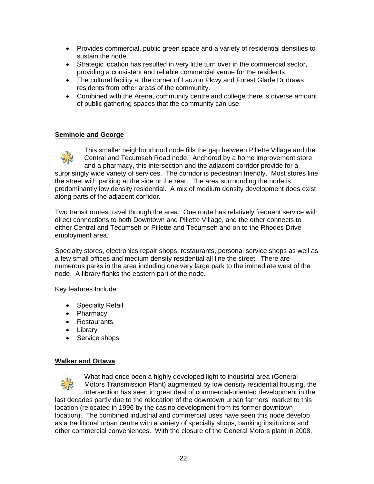- Provides commercial, public green space and a variety of residential densities to sustain the node.
- Strategic location has resulted in very little turn over in the commercial sector, providing a consistent and reliable commercial venue for the residents.
- The cultural facility at the corner of Lauzon Pkwy and Forest Glade Dr draws residents from other areas of the community.
- Combined with the Arena, community centre and college there is diverse amount of public gathering spaces that the community can use.

#### **Seminole and George**



This smaller neighbourhood node fills the gap between Pillette Village and the Central and Tecumseh Road node. Anchored by a home improvement store and a pharmacy, this intersection and the adjacent corridor provide for a

surprisingly wide variety of services. The corridor is pedestrian friendly. Most stores line the street with parking at the side or the rear. The area surrounding the node is predominantly low density residential. A mix of medium density development does exist along parts of the adjacent corridor.

Two transit routes travel through the area. One route has relatively frequent service with direct connections to both Downtown and Pillette Village, and the other connects to either Central and Tecumseh or Pillette and Tecumseh and on to the Rhodes Drive employment area.

Specialty stores, electronics repair shops, restaurants, personal service shops as well as a few small offices and medium density residential all line the street. There are numerous parks in the area including one very large park to the immediate west of the node. A library flanks the eastern part of the node.

Key features Include:

- Specialty Retail
- Pharmacy
- Restaurants
- Library
- Service shops

#### **Walker and Ottawa**



What had once been a highly developed light to industrial area (General Motors Transmission Plant) augmented by low density residential housing, the intersection has seen in great deal of commercial-oriented development in the last decades partly due to the relocation of the downtown urban farmers' market to this location (relocated in 1996 by the casino development from its former downtown location). The combined industrial and commercial uses have seen this node develop as a traditional urban centre with a variety of specialty shops, banking institutions and other commercial conveniences. With the closure of the General Motors plant in 2008,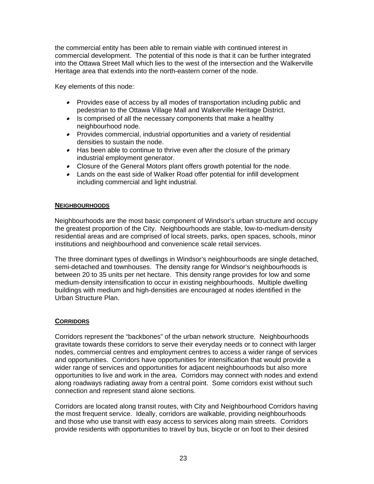the commercial entity has been able to remain viable with continued interest in commercial development. The potential of this node is that it can be further integrated into the Ottawa Street Mall which lies to the west of the intersection and the Walkerville Heritage area that extends into the north-eastern corner of the node.

Key elements of this node:

- Provides ease of access by all modes of transportation including public and pedestrian to the Ottawa Village Mall and Walkerville Heritage District.
- Is comprised of all the necessary components that make a healthy neighbourhood node.
- Provides commercial, industrial opportunities and a variety of residential densities to sustain the node.
- Has been able to continue to thrive even after the closure of the primary industrial employment generator.
- Closure of the General Motors plant offers growth potential for the node.
- Lands on the east side of Walker Road offer potential for infill development including commercial and light industrial.

#### **NEIGHBOURHOODS**

Neighbourhoods are the most basic component of Windsor's urban structure and occupy the greatest proportion of the City. Neighbourhoods are stable, low-to-medium-density residential areas and are comprised of local streets, parks, open spaces, schools, minor institutions and neighbourhood and convenience scale retail services.

The three dominant types of dwellings in Windsor's neighbourhoods are single detached, semi-detached and townhouses. The density range for Windsor's neighbourhoods is between 20 to 35 units per net hectare. This density range provides for low and some medium-density intensification to occur in existing neighbourhoods. Multiple dwelling buildings with medium and high-densities are encouraged at nodes identified in the Urban Structure Plan.

## **CORRIDORS**

Corridors represent the "backbones" of the urban network structure. Neighbourhoods gravitate towards these corridors to serve their everyday needs or to connect with larger nodes, commercial centres and employment centres to access a wider range of services and opportunities. Corridors have opportunities for intensification that would provide a wider range of services and opportunities for adjacent neighbourhoods but also more opportunities to live and work in the area. Corridors may connect with nodes and extend along roadways radiating away from a central point. Some corridors exist without such connection and represent stand alone sections.

Corridors are located along transit routes, with City and Neighbourhood Corridors having the most frequent service. Ideally, corridors are walkable, providing neighbourhoods and those who use transit with easy access to services along main streets. Corridors provide residents with opportunities to travel by bus, bicycle or on foot to their desired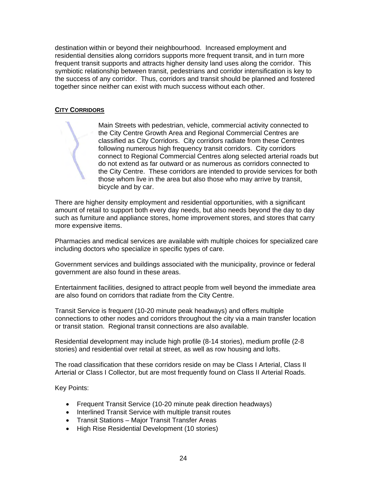destination within or beyond their neighbourhood. Increased employment and residential densities along corridors supports more frequent transit, and in turn more frequent transit supports and attracts higher density land uses along the corridor. This symbiotic relationship between transit, pedestrians and corridor intensification is key to the success of any corridor. Thus, corridors and transit should be planned and fostered together since neither can exist with much success without each other.

## **CITY CORRIDORS**

Main Streets with pedestrian, vehicle, commercial activity connected to the City Centre Growth Area and Regional Commercial Centres are classified as City Corridors. City corridors radiate from these Centres following numerous high frequency transit corridors. City corridors connect to Regional Commercial Centres along selected arterial roads but do not extend as far outward or as numerous as corridors connected to the City Centre. These corridors are intended to provide services for both those whom live in the area but also those who may arrive by transit, bicycle and by car.

There are higher density employment and residential opportunities, with a significant amount of retail to support both every day needs, but also needs beyond the day to day such as furniture and appliance stores, home improvement stores, and stores that carry more expensive items.

Pharmacies and medical services are available with multiple choices for specialized care including doctors who specialize in specific types of care.

Government services and buildings associated with the municipality, province or federal government are also found in these areas.

Entertainment facilities, designed to attract people from well beyond the immediate area are also found on corridors that radiate from the City Centre.

Transit Service is frequent (10-20 minute peak headways) and offers multiple connections to other nodes and corridors throughout the city via a main transfer location or transit station. Regional transit connections are also available.

Residential development may include high profile (8-14 stories), medium profile (2-8 stories) and residential over retail at street, as well as row housing and lofts.

The road classification that these corridors reside on may be Class I Arterial, Class II Arterial or Class I Collector, but are most frequently found on Class II Arterial Roads.

Key Points:

- Frequent Transit Service (10-20 minute peak direction headways)
- Interlined Transit Service with multiple transit routes
- Transit Stations Major Transit Transfer Areas
- High Rise Residential Development (10 stories)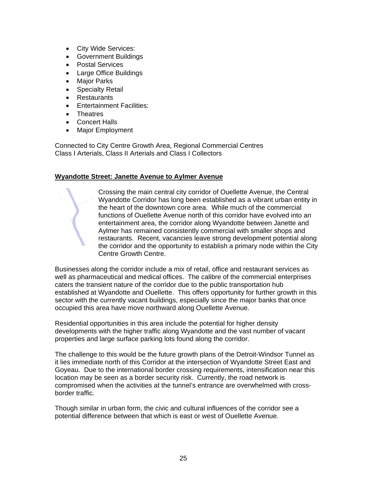- City Wide Services:
- Government Buildings
- Postal Services
- Large Office Buildings
- Major Parks
- Specialty Retail
- Restaurants
- Entertainment Facilities:
- **•** Theatres
- Concert Halls
- Major Employment

Connected to City Centre Growth Area, Regional Commercial Centres Class I Arterials, Class II Arterials and Class I Collectors

#### **Wyandotte Street: Janette Avenue to Aylmer Avenue**

Crossing the main central city corridor of Ouellette Avenue, the Central Wyandotte Corridor has long been established as a vibrant urban entity in the heart of the downtown core area. While much of the commercial functions of Ouellette Avenue north of this corridor have evolved into an entertainment area, the corridor along Wyandotte between Janette and Aylmer has remained consistently commercial with smaller shops and restaurants. Recent, vacancies leave strong development potential along the corridor and the opportunity to establish a primary node within the City Centre Growth Centre.

Businesses along the corridor include a mix of retail, office and restaurant services as well as pharmaceutical and medical offices. The calibre of the commercial enterprises caters the transient nature of the corridor due to the public transportation hub established at Wyandotte and Ouellette. This offers opportunity for further growth in this sector with the currently vacant buildings, especially since the major banks that once occupied this area have move northward along Ouellette Avenue.

Residential opportunities in this area include the potential for higher density developments with the higher traffic along Wyandotte and the vast number of vacant properties and large surface parking lots found along the corridor.

The challenge to this would be the future growth plans of the Detroit-Windsor Tunnel as it lies immediate north of this Corridor at the intersection of Wyandotte Street East and Goyeau. Due to the international border crossing requirements, intensification near this location may be seen as a border security risk. Currently, the road network is compromised when the activities at the tunnel's entrance are overwhelmed with crossborder traffic.

Though similar in urban form, the civic and cultural influences of the corridor see a potential difference between that which is east or west of Ouellette Avenue.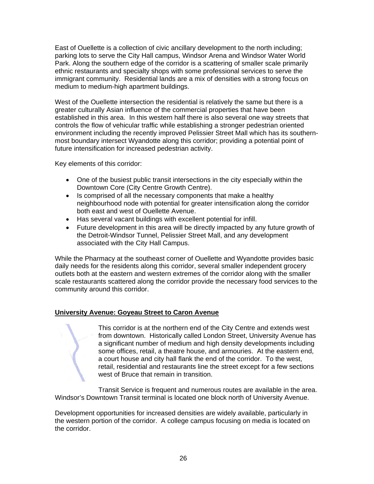East of Ouellette is a collection of civic ancillary development to the north including; parking lots to serve the City Hall campus, Windsor Arena and Windsor Water World Park. Along the southern edge of the corridor is a scattering of smaller scale primarily ethnic restaurants and specialty shops with some professional services to serve the immigrant community. Residential lands are a mix of densities with a strong focus on medium to medium-high apartment buildings.

West of the Ouellette intersection the residential is relatively the same but there is a greater culturally Asian influence of the commercial properties that have been established in this area. In this western half there is also several one way streets that controls the flow of vehicular traffic while establishing a stronger pedestrian oriented environment including the recently improved Pelissier Street Mall which has its southernmost boundary intersect Wyandotte along this corridor; providing a potential point of future intensification for increased pedestrian activity.

Key elements of this corridor:

- One of the busiest public transit intersections in the city especially within the Downtown Core (City Centre Growth Centre).
- Is comprised of all the necessary components that make a healthy neighbourhood node with potential for greater intensification along the corridor both east and west of Ouellette Avenue.
- Has several vacant buildings with excellent potential for infill.
- Future development in this area will be directly impacted by any future growth of the Detroit-Windsor Tunnel, Pelissier Street Mall, and any development associated with the City Hall Campus.

While the Pharmacy at the southeast corner of Ouellette and Wyandotte provides basic daily needs for the residents along this corridor, several smaller independent grocery outlets both at the eastern and western extremes of the corridor along with the smaller scale restaurants scattered along the corridor provide the necessary food services to the community around this corridor.

## **University Avenue: Goyeau Street to Caron Avenue**

This corridor is at the northern end of the City Centre and extends west from downtown. Historically called London Street, University Avenue has a significant number of medium and high density developments including some offices, retail, a theatre house, and armouries. At the eastern end, a court house and city hall flank the end of the corridor. To the west, retail, residential and restaurants line the street except for a few sections west of Bruce that remain in transition.

Transit Service is frequent and numerous routes are available in the area. Windsor's Downtown Transit terminal is located one block north of University Avenue.

Development opportunities for increased densities are widely available, particularly in the western portion of the corridor. A college campus focusing on media is located on the corridor.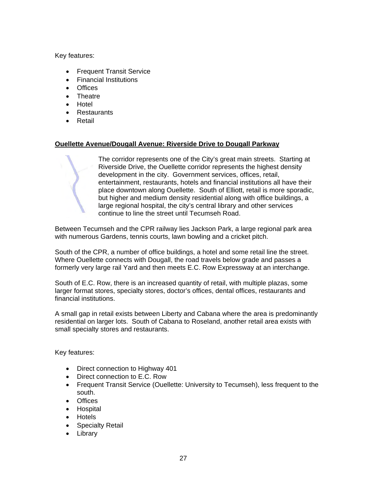Key features:

- Frequent Transit Service
- Financial Institutions
- Offices
- Theatre
- Hotel
- Restaurants
- **•** Retail

## **Ouellette Avenue/Dougall Avenue: Riverside Drive to Dougall Parkway**

The corridor represents one of the City's great main streets. Starting at Riverside Drive, the Ouellette corridor represents the highest density development in the city. Government services, offices, retail, entertainment, restaurants, hotels and financial institutions all have their place downtown along Ouellette. South of Elliott, retail is more sporadic, but higher and medium density residential along with office buildings, a large regional hospital, the city's central library and other services continue to line the street until Tecumseh Road.

Between Tecumseh and the CPR railway lies Jackson Park, a large regional park area with numerous Gardens, tennis courts, lawn bowling and a cricket pitch.

South of the CPR, a number of office buildings, a hotel and some retail line the street. Where Ouellette connects with Dougall, the road travels below grade and passes a formerly very large rail Yard and then meets E.C. Row Expressway at an interchange.

South of E.C. Row, there is an increased quantity of retail, with multiple plazas, some larger format stores, specialty stores, doctor's offices, dental offices, restaurants and financial institutions.

A small gap in retail exists between Liberty and Cabana where the area is predominantly residential on larger lots. South of Cabana to Roseland, another retail area exists with small specialty stores and restaurants.

Key features:

- Direct connection to Highway 401
- Direct connection to E.C. Row
- Frequent Transit Service (Ouellette: University to Tecumseh), less frequent to the south.
- Offices
- Hospital
- Hotels
- Specialty Retail
- Library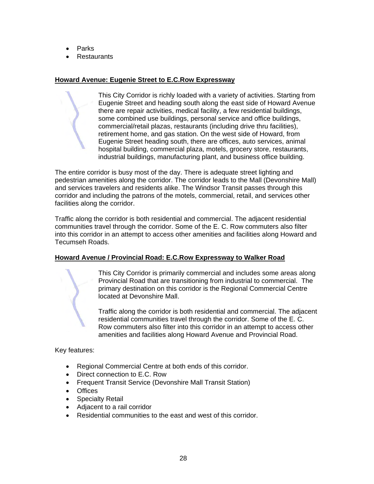- Parks
- **Restaurants**

#### **Howard Avenue: Eugenie Street to E.C.Row Expressway**

This City Corridor is richly loaded with a variety of activities. Starting from Eugenie Street and heading south along the east side of Howard Avenue there are repair activities, medical facility, a few residential buildings, some combined use buildings, personal service and office buildings, commercial/retail plazas, restaurants (including drive thru facilities), retirement home, and gas station. On the west side of Howard, from Eugenie Street heading south, there are offices, auto services, animal hospital building, commercial plaza, motels, grocery store, restaurants, industrial buildings, manufacturing plant, and business office building.

The entire corridor is busy most of the day. There is adequate street lighting and pedestrian amenities along the corridor. The corridor leads to the Mall (Devonshire Mall) and services travelers and residents alike. The Windsor Transit passes through this corridor and including the patrons of the motels, commercial, retail, and services other facilities along the corridor.

Traffic along the corridor is both residential and commercial. The adjacent residential communities travel through the corridor. Some of the E. C. Row commuters also filter into this corridor in an attempt to access other amenities and facilities along Howard and Tecumseh Roads.

## **Howard Avenue / Provincial Road: E.C.Row Expressway to Walker Road**

This City Corridor is primarily commercial and includes some areas along Provincial Road that are transitioning from industrial to commercial. The primary destination on this corridor is the Regional Commercial Centre located at Devonshire Mall.

Traffic along the corridor is both residential and commercial. The adjacent residential communities travel through the corridor. Some of the E. C. Row commuters also filter into this corridor in an attempt to access other amenities and facilities along Howard Avenue and Provincial Road.

Key features:

- Regional Commercial Centre at both ends of this corridor.
- Direct connection to E.C. Row
- Frequent Transit Service (Devonshire Mall Transit Station)
- Offices
- Specialty Retail
- Adjacent to a rail corridor
- Residential communities to the east and west of this corridor.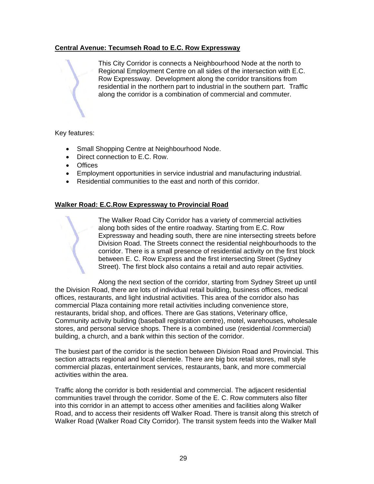## **Central Avenue: Tecumseh Road to E.C. Row Expressway**

This City Corridor is connects a Neighbourhood Node at the north to Regional Employment Centre on all sides of the intersection with E.C. Row Expressway. Development along the corridor transitions from residential in the northern part to industrial in the southern part. Traffic along the corridor is a combination of commercial and commuter.

#### Key features:

- Small Shopping Centre at Neighbourhood Node.
- Direct connection to E.C. Row.
- Offices
- Employment opportunities in service industrial and manufacturing industrial.
- Residential communities to the east and north of this corridor.

#### **Walker Road: E.C.Row Expressway to Provincial Road**

The Walker Road City Corridor has a variety of commercial activities along both sides of the entire roadway. Starting from E.C. Row Expressway and heading south, there are nine intersecting streets before Division Road. The Streets connect the residential neighbourhoods to the corridor. There is a small presence of residential activity on the first block between E. C. Row Express and the first intersecting Street (Sydney Street). The first block also contains a retail and auto repair activities.

Along the next section of the corridor, starting from Sydney Street up until the Division Road, there are lots of individual retail building, business offices, medical offices, restaurants, and light industrial activities. This area of the corridor also has commercial Plaza containing more retail activities including convenience store, restaurants, bridal shop, and offices. There are Gas stations, Veterinary office, Community activity building (baseball registration centre), motel, warehouses, wholesale stores, and personal service shops. There is a combined use (residential /commercial) building, a church, and a bank within this section of the corridor.

The busiest part of the corridor is the section between Division Road and Provincial. This section attracts regional and local clientele. There are big box retail stores, mall style commercial plazas, entertainment services, restaurants, bank, and more commercial activities within the area.

Traffic along the corridor is both residential and commercial. The adjacent residential communities travel through the corridor. Some of the E. C. Row commuters also filter into this corridor in an attempt to access other amenities and facilities along Walker Road, and to access their residents off Walker Road. There is transit along this stretch of Walker Road (Walker Road City Corridor). The transit system feeds into the Walker Mall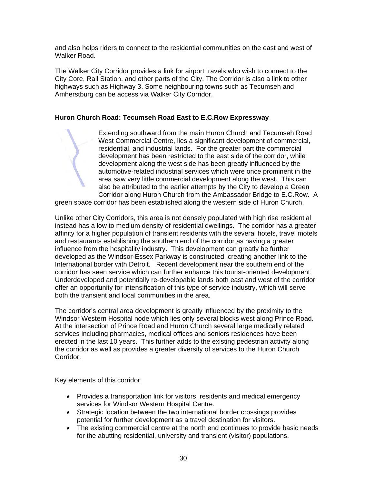and also helps riders to connect to the residential communities on the east and west of Walker Road.

The Walker City Corridor provides a link for airport travels who wish to connect to the City Core, Rail Station, and other parts of the City. The Corridor is also a link to other highways such as Highway 3. Some neighbouring towns such as Tecumseh and Amherstburg can be access via Walker City Corridor.

## **Huron Church Road: Tecumseh Road East to E.C.Row Expressway**

Extending southward from the main Huron Church and Tecumseh Road West Commercial Centre, lies a significant development of commercial, residential, and industrial lands. For the greater part the commercial development has been restricted to the east side of the corridor, while development along the west side has been greatly influenced by the automotive-related industrial services which were once prominent in the area saw very little commercial development along the west. This can also be attributed to the earlier attempts by the City to develop a Green Corridor along Huron Church from the Ambassador Bridge to E.C.Row. A

green space corridor has been established along the western side of Huron Church.

Unlike other City Corridors, this area is not densely populated with high rise residential instead has a low to medium density of residential dwellings. The corridor has a greater affinity for a higher population of transient residents with the several hotels, travel motels and restaurants establishing the southern end of the corridor as having a greater influence from the hospitality industry. This development can greatly be further developed as the Windsor-Essex Parkway is constructed, creating another link to the International border with Detroit. Recent development near the southern end of the corridor has seen service which can further enhance this tourist-oriented development. Underdeveloped and potentially re-developable lands both east and west of the corridor offer an opportunity for intensification of this type of service industry, which will serve both the transient and local communities in the area.

The corridor's central area development is greatly influenced by the proximity to the Windsor Western Hospital node which lies only several blocks west along Prince Road. At the intersection of Prince Road and Huron Church several large medically related services including pharmacies, medical offices and seniors residences have been erected in the last 10 years. This further adds to the existing pedestrian activity along the corridor as well as provides a greater diversity of services to the Huron Church Corridor.

Key elements of this corridor:

- Provides a transportation link for visitors, residents and medical emergency services for Windsor Western Hospital Centre.
- Strategic location between the two international border crossings provides potential for further development as a travel destination for visitors.
- The existing commercial centre at the north end continues to provide basic needs for the abutting residential, university and transient (visitor) populations.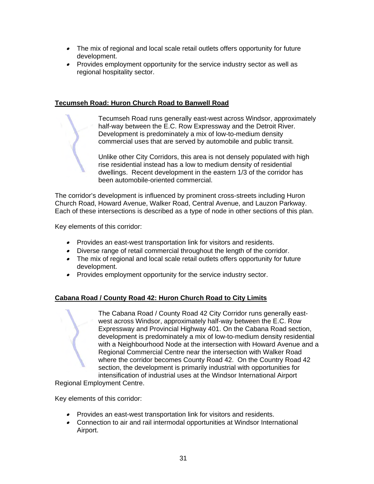- The mix of regional and local scale retail outlets offers opportunity for future development.
- Provides employment opportunity for the service industry sector as well as regional hospitality sector.

## **Tecumseh Road: Huron Church Road to Banwell Road**

Tecumseh Road runs generally east-west across Windsor, approximately half-way between the E.C. Row Expressway and the Detroit River. Development is predominately a mix of low-to-medium density commercial uses that are served by automobile and public transit.

Unlike other City Corridors, this area is not densely populated with high rise residential instead has a low to medium density of residential dwellings. Recent development in the eastern 1/3 of the corridor has been automobile-oriented commercial.

The corridor's development is influenced by prominent cross-streets including Huron Church Road, Howard Avenue, Walker Road, Central Avenue, and Lauzon Parkway. Each of these intersections is described as a type of node in other sections of this plan.

Key elements of this corridor:

- Provides an east-west transportation link for visitors and residents.
- Diverse range of retail commercial throughout the length of the corridor.
- The mix of regional and local scale retail outlets offers opportunity for future development.
- Provides employment opportunity for the service industry sector.

## **Cabana Road / County Road 42: Huron Church Road to City Limits**

The Cabana Road / County Road 42 City Corridor runs generally eastwest across Windsor, approximately half-way between the E.C. Row Expressway and Provincial Highway 401. On the Cabana Road section, development is predominately a mix of low-to-medium density residential with a Neighbourhood Node at the intersection with Howard Avenue and a Regional Commercial Centre near the intersection with Walker Road where the corridor becomes County Road 42. On the Country Road 42 section, the development is primarily industrial with opportunities for intensification of industrial uses at the Windsor International Airport

Regional Employment Centre.

Key elements of this corridor:

- Provides an east-west transportation link for visitors and residents.
- Connection to air and rail intermodal opportunities at Windsor International Airport.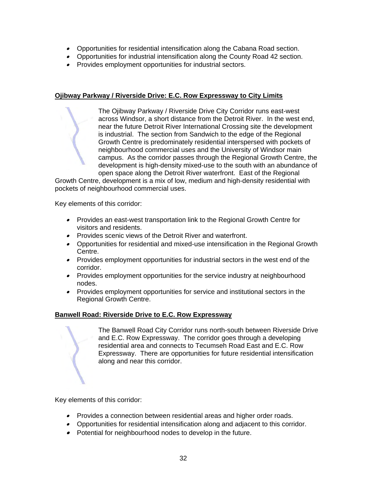- Opportunities for residential intensification along the Cabana Road section.
- Opportunities for industrial intensification along the County Road 42 section.
- Provides employment opportunities for industrial sectors.

## **Ojibway Parkway / Riverside Drive: E.C. Row Expressway to City Limits**

The Ojibway Parkway / Riverside Drive City Corridor runs east-west across Windsor, a short distance from the Detroit River. In the west end, near the future Detroit River International Crossing site the development is industrial. The section from Sandwich to the edge of the Regional Growth Centre is predominately residential interspersed with pockets of neighbourhood commercial uses and the University of Windsor main campus. As the corridor passes through the Regional Growth Centre, the development is high-density mixed-use to the south with an abundance of open space along the Detroit River waterfront. East of the Regional

Growth Centre, development is a mix of low, medium and high-density residential with pockets of neighbourhood commercial uses.

Key elements of this corridor:

- Provides an east-west transportation link to the Regional Growth Centre for visitors and residents.
- Provides scenic views of the Detroit River and waterfront.
- Opportunities for residential and mixed-use intensification in the Regional Growth Centre.
- Provides employment opportunities for industrial sectors in the west end of the corridor.
- Provides employment opportunities for the service industry at neighbourhood nodes.
- Provides employment opportunities for service and institutional sectors in the Regional Growth Centre.

## **Banwell Road: Riverside Drive to E.C. Row Expressway**

The Banwell Road City Corridor runs north-south between Riverside Drive and E.C. Row Expressway. The corridor goes through a developing residential area and connects to Tecumseh Road East and E.C. Row Expressway. There are opportunities for future residential intensification along and near this corridor.

Key elements of this corridor:

- Provides a connection between residential areas and higher order roads.
- Opportunities for residential intensification along and adjacent to this corridor.
- Potential for neighbourhood nodes to develop in the future.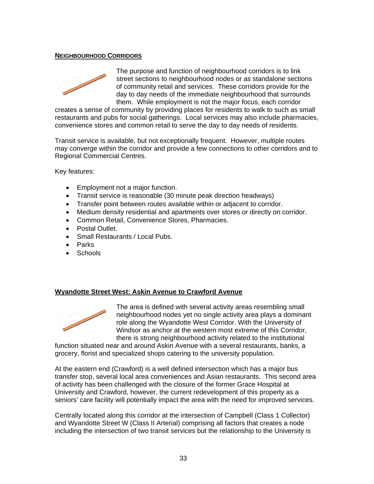#### **NEIGHBOURHOOD CORRIDORS**



The purpose and function of neighbourhood corridors is to link street sections to neighbourhood nodes or as standalone sections of community retail and services. These corridors provide for the day to day needs of the immediate neighbourhood that surrounds them. While employment is not the major focus, each corridor

creates a sense of community by providing places for residents to walk to such as small restaurants and pubs for social gatherings. Local services may also include pharmacies, convenience stores and common retail to serve the day to day needs of residents.

Transit service is available, but not exceptionally frequent. However, multiple routes may converge within the corridor and provide a few connections to other corridors and to Regional Commercial Centres.

Key features:

- Employment not a major function.
- Transit service is reasonable (30 minute peak direction headways)
- Transfer point between routes available within or adjacent to corridor.
- Medium density residential and apartments over stores or directly on corridor.
- Common Retail, Convenience Stores, Pharmacies.
- Postal Outlet.
- Small Restaurants / Local Pubs.
- Parks
- Schools

#### **Wyandotte Street West: Askin Avenue to Crawford Avenue**



The area is defined with several activity areas resembling small neighbourhood nodes yet no single activity area plays a dominant role along the Wyandotte West Corridor. With the University of Windsor as anchor at the western most extreme of this Corridor, there is strong neighbourhood activity related to the institutional

function situated near and around Askin Avenue with a several restaurants, banks, a grocery, florist and specialized shops catering to the university population.

At the eastern end (Crawford) is a well defined intersection which has a major bus transfer stop, several local area conveniences and Asian restaurants. This second area of activity has been challenged with the closure of the former Grace Hospital at University and Crawford, however, the current redevelopment of this property as a seniors' care facility will potentially impact the area with the need for improved services.

Centrally located along this corridor at the intersection of Campbell (Class 1 Collector) and Wyandotte Street W (Class II Arterial) comprising all factors that creates a node including the intersection of two transit services but the relationship to the University is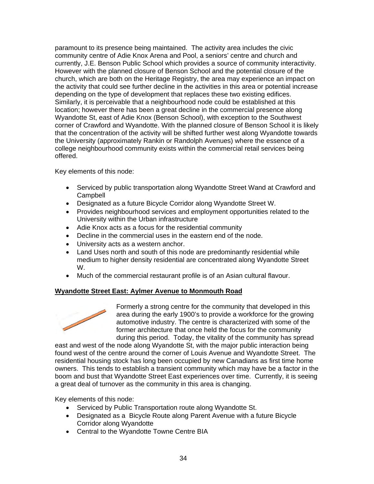paramount to its presence being maintained. The activity area includes the civic community centre of Adie Knox Arena and Pool, a seniors' centre and church and currently, J.E. Benson Public School which provides a source of community interactivity. However with the planned closure of Benson School and the potential closure of the church, which are both on the Heritage Registry, the area may experience an impact on the activity that could see further decline in the activities in this area or potential increase depending on the type of development that replaces these two existing edifices. Similarly, it is perceivable that a neighbourhood node could be established at this location; however there has been a great decline in the commercial presence along Wyandotte St, east of Adie Knox (Benson School), with exception to the Southwest corner of Crawford and Wyandotte. With the planned closure of Benson School it is likely that the concentration of the activity will be shifted further west along Wyandotte towards the University (approximately Rankin or Randolph Avenues) where the essence of a college neighbourhood community exists within the commercial retail services being offered.

Key elements of this node:

- Serviced by public transportation along Wyandotte Street Wand at Crawford and Campbell
- Designated as a future Bicycle Corridor along Wyandotte Street W.
- Provides neighbourhood services and employment opportunities related to the University within the Urban infrastructure
- Adie Knox acts as a focus for the residential community
- Decline in the commercial uses in the eastern end of the node.
- University acts as a western anchor.
- Land Uses north and south of this node are predominantly residential while medium to higher density residential are concentrated along Wyandotte Street W.
- Much of the commercial restaurant profile is of an Asian cultural flavour.

## **Wyandotte Street East: Aylmer Avenue to Monmouth Road**



Formerly a strong centre for the community that developed in this area during the early 1900's to provide a workforce for the growing automotive industry. The centre is characterized with some of the former architecture that once held the focus for the community during this period. Today, the vitality of the community has spread

east and west of the node along Wyandotte St, with the major public interaction being found west of the centre around the corner of Louis Avenue and Wyandotte Street. The residential housing stock has long been occupied by new Canadians as first time home owners. This tends to establish a transient community which may have be a factor in the boom and bust that Wyandotte Street East experiences over time. Currently, it is seeing a great deal of turnover as the community in this area is changing.

Key elements of this node:

- Serviced by Public Transportation route along Wyandotte St.
- Designated as a Bicycle Route along Parent Avenue with a future Bicycle Corridor along Wyandotte
- Central to the Wyandotte Towne Centre BIA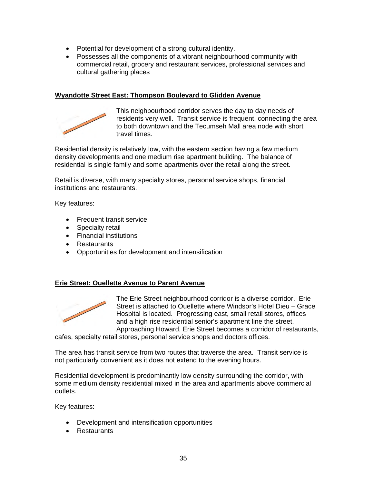- Potential for development of a strong cultural identity.
- Possesses all the components of a vibrant neighbourhood community with commercial retail, grocery and restaurant services, professional services and cultural gathering places

### **Wyandotte Street East: Thompson Boulevard to Glidden Avenue**



This neighbourhood corridor serves the day to day needs of residents very well. Transit service is frequent, connecting the area to both downtown and the Tecumseh Mall area node with short travel times.

Residential density is relatively low, with the eastern section having a few medium density developments and one medium rise apartment building. The balance of residential is single family and some apartments over the retail along the street.

Retail is diverse, with many specialty stores, personal service shops, financial institutions and restaurants.

Key features:

- Frequent transit service
- Specialty retail
- Financial institutions
- Restaurants
- Opportunities for development and intensification

#### **Erie Street: Ouellette Avenue to Parent Avenue**



The Erie Street neighbourhood corridor is a diverse corridor. Erie Street is attached to Ouellette where Windsor's Hotel Dieu – Grace Hospital is located. Progressing east, small retail stores, offices and a high rise residential senior's apartment line the street. Approaching Howard, Erie Street becomes a corridor of restaurants,

cafes, specialty retail stores, personal service shops and doctors offices.

The area has transit service from two routes that traverse the area. Transit service is not particularly convenient as it does not extend to the evening hours.

Residential development is predominantly low density surrounding the corridor, with some medium density residential mixed in the area and apartments above commercial outlets.

Key features:

- Development and intensification opportunities
- Restaurants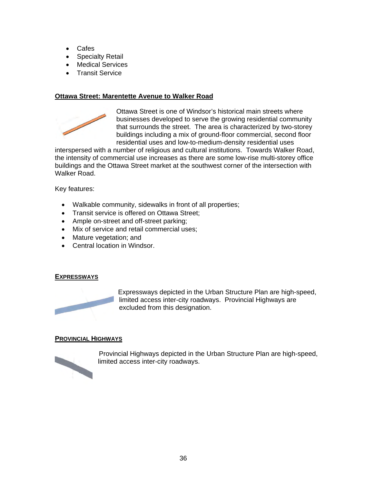- Cafes
- Specialty Retail
- Medical Services
- **•** Transit Service

### **Ottawa Street: Marentette Avenue to Walker Road**



Ottawa Street is one of Windsor's historical main streets where businesses developed to serve the growing residential community that surrounds the street. The area is characterized by two-storey buildings including a mix of ground-floor commercial, second floor residential uses and low-to-medium-density residential uses

interspersed with a number of religious and cultural institutions. Towards Walker Road, the intensity of commercial use increases as there are some low-rise multi-storey office buildings and the Ottawa Street market at the southwest corner of the intersection with Walker Road.

Key features:

- Walkable community, sidewalks in front of all properties;
- Transit service is offered on Ottawa Street;
- Ample on-street and off-street parking;
- $\bullet$  Mix of service and retail commercial uses;
- Mature vegetation; and
- Central location in Windsor.

#### **EXPRESSWAYS**



Expressways depicted in the Urban Structure Plan are high-speed, limited access inter-city roadways. Provincial Highways are excluded from this designation.

#### **PROVINCIAL HIGHWAYS**



 Provincial Highways depicted in the Urban Structure Plan are high-speed, limited access inter-city roadways.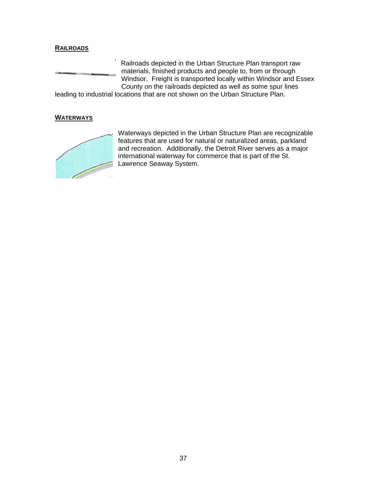## **RAILROADS**



Railroads depicted in the Urban Structure Plan transport raw materials, finished products and people to, from or through Windsor. Freight is transported locally within Windsor and Essex County on the railroads depicted as well as some spur lines

leading to industrial locations that are not shown on the Urban Structure Plan.

#### **WATERWAYS**



Waterways depicted in the Urban Structure Plan are recognizable features that are used for natural or naturalized areas, parkland and recreation. Additionally, the Detroit River serves as a major international waterway for commerce that is part of the St. Lawrence Seaway System.